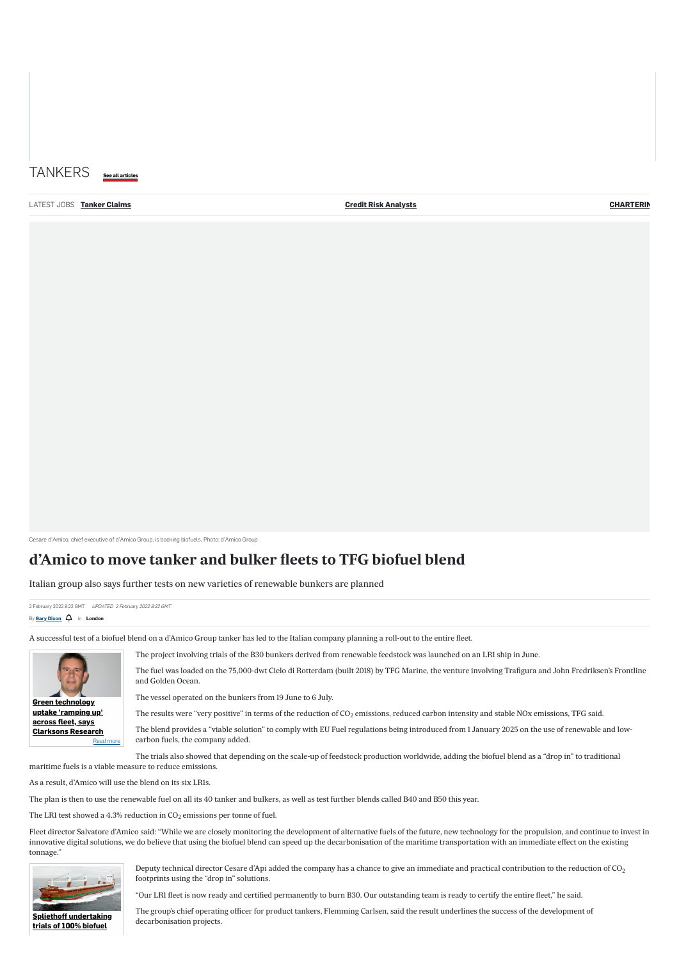Cesare d'Amico, chief executive of d'Amico Group, is backing biofuels. Photo: d'Amico Group

2 February 2022 8:22 GMT UPDATED 2 February 2022 8:22 GMT By **[Gary Dixon](https://www.tradewindsnews.com/author/g_dixon)**  $\overrightarrow{Q}$  in **London** 

# **d'Amico to move tanker and bulker fleets to TFG biofuel blend**

Italian group also says further tests on new varieties of renewable bunkers are planned

A successful test of a biofuel blend on a d'Amico Group tanker has led to the Italian company planning a roll-out to the entire fleet.

The project involving trials of the B30 bunkers derived from renewable feedstock was launched on an LR1 ship in June.

The fuel was loaded on the 75,000-dwt Cielo di Rotterdam (built 2018) by TFG Marine, the venture involving Trafigura and John Fredriksen's Frontline and Golden Ocean.

The vessel operated on the bunkers from 19 June to 6 July.

The results were "very positive" in terms of the reduction of CO<sub>2</sub> emissions, reduced carbon intensity and stable NOx emissions, TFG said.

The blend provides a "viable solution" to comply with EU Fuel regulations being introduced from 1 January 2025 on the use of renewable and lowcarbon fuels, the company added.

Deputy technical director Cesare d'Api added the company has a chance to give an immediate and practical contribution to the reduction of CO $_2$ footprints using the "drop in" solutions.

The trials also showed that depending on the scale-up of feedstock production worldwide, adding the biofuel blend as a "drop in" to traditional maritime fuels is a viable measure to reduce emissions.

| TANKERS See all articles    |                  |
|-----------------------------|------------------|
| <b>Credit Risk Analysts</b> | <b>CHARTERIN</b> |
|                             |                  |
|                             |                  |
|                             |                  |
|                             |                  |
|                             |                  |
|                             |                  |
|                             |                  |
|                             |                  |
|                             |                  |
|                             |                  |
|                             |                  |
|                             |                  |

As a result, d'Amico will use the blend on its six LR1s.

The plan is then to use the renewable fuel on all its 40 tanker and bulkers, as well as test further blends called B40 and B50 this year.

The LR1 test showed a 4.3% reduction in CO<sub>2</sub> emissions per tonne of fuel.

Fleet director Salvatore d'Amico said: "While we are closely monitoring the development of alternative fuels of the future, new technology for the propulsion, and continue to invest in innovative digital solutions, we do believe that using the biofuel blend can speed up the decarbonisation of the maritime transportation with an immediate effect on the existing tonnage."

"Our LR1 fleet is now ready and certified permanently to burn B30. Our outstanding team is ready to certify the entire fleet," he said.

The group's chief operating officer for product tankers, Flemming Carlsen, said the result underlines the success of the development of decarbonisation projects.



**uptake 'ramping up'**





**[Spliethoff undertaking](https://www.tradewindsnews.com/news/2-1-1142321) trials of 100% biofuel**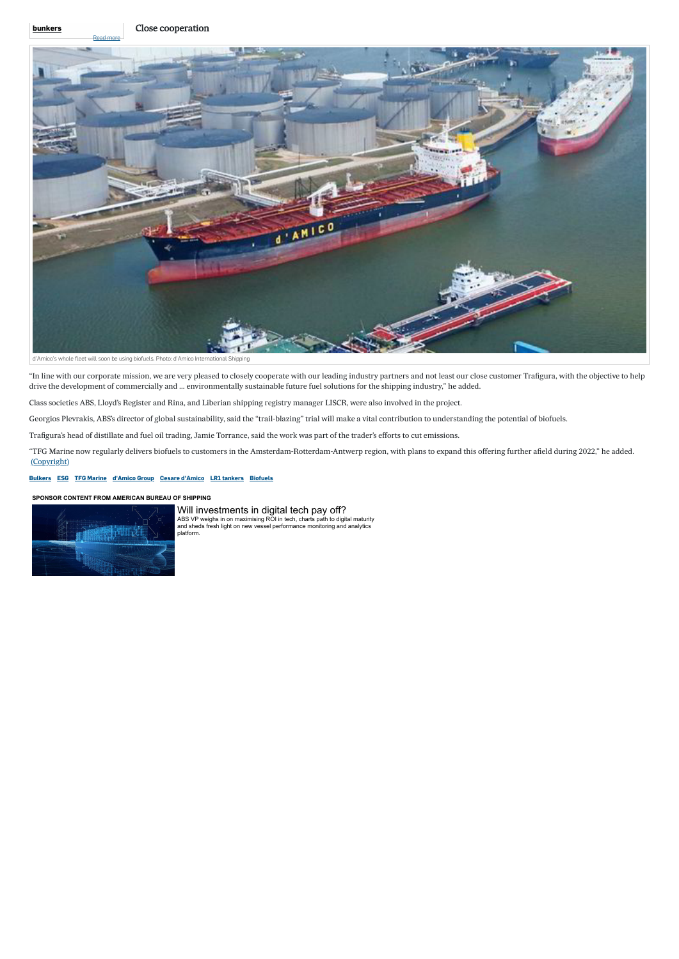"In line with our corporate mission, we are very pleased to closely cooperate with our leading industry partners and not least our close customer Trafigura, with the objective to help drive the development of commercially and … environmentally sustainable future fuel solutions for the shipping industry," he added.

Class societies ABS, Lloyd's Register and Rina, and Liberian shipping registry manager LISCR, were also involved in the project.

Georgios Plevrakis, ABS's director of global sustainability, said the "trail-blazing" trial will make a vital contribution to understanding the potential of biofuels.

Trafigura's head of distillate and fuel oil trading, Jamie Torrance, said the work was part of the trader's efforts to cut emissions.

"TFG Marine now regularly delivers biofuels to customers in the Amsterdam-Rotterdam-Antwerp region, with plans to expand this offering further afield during 2022," he added. [\(Copyright\)](https://www.tradewindsnews.com/terms?tab=digital)

### **[Bulkers](https://www.tradewindsnews.com/bulkers) [ESG](https://www.tradewindsnews.com/esg) [TFG Marine](https://www.tradewindsnews.com/tag/tfg_marine) [d'Amico Group](https://www.tradewindsnews.com/tag/d) [Cesare d'Amico](https://www.tradewindsnews.com/tag/cesare_d) [LR1 tankers](https://www.tradewindsnews.com/tag/lr1_tankers) [Biofuels](https://www.tradewindsnews.com/tag/biofuels)**

[Will investments in digital tech pay off?](https://adclick.g.doubleclick.net/pcs/click?xai=AKAOjssUNbr1I9dREVT0MhYc--2eMq7ARQbOmbu27p1dEOy4mqkkvdfxo43gcdYApxAigKTtwuQnSsFXWab82qRt9X-122C8b0nFDZ2lefyRXcmEkgwUVktRkA6a7H1cMj5B5PSKkbqS_iigjpUPD1URR0NGEFly5Be5a5i9cw3cNra1xq4gsGG9Epi5hW1t4B2z_4PYvnSNZc5_A9oFLiauk7TWaDhR1Qz2z9CXP5oeaDrwCaGWQIZWaFytU79LhN8BRyLSeeB1NqfcdlOBt8qcxlydLL6JUtv5Zegh99vLG7A6niWcM6WF-GseHKKis3ij-8Upvb32opeO4R9Qz3-P1-V-O2nOMvUakktERSq0xA&sai=AMfl-YQ6GRmmdil645OJyTKvoEpn7qKM7nRCbIMrVv3UsoeJ23HbZDRMdSAqqXZBjuC-UELBCKe_I9SpJMsU5hVFe0_Q5xnZydoiZm-wgumYov20qWcm2QofvYqmDI9mOqnEdlYKsg&sig=Cg0ArKJSzCPsYGxxUnb_EAE&fbs_aeid=[gw_fbsaeid]&urlfix=1&adurl=https://www.tradewindsnews.com/sponsor-content/will-investments-in-digital-tech-pay-off-/2-1-1145718) [ABS VP weighs in on maximising ROI in tech, charts path to digital maturity](https://adclick.g.doubleclick.net/pcs/click?xai=AKAOjssUNbr1I9dREVT0MhYc--2eMq7ARQbOmbu27p1dEOy4mqkkvdfxo43gcdYApxAigKTtwuQnSsFXWab82qRt9X-122C8b0nFDZ2lefyRXcmEkgwUVktRkA6a7H1cMj5B5PSKkbqS_iigjpUPD1URR0NGEFly5Be5a5i9cw3cNra1xq4gsGG9Epi5hW1t4B2z_4PYvnSNZc5_A9oFLiauk7TWaDhR1Qz2z9CXP5oeaDrwCaGWQIZWaFytU79LhN8BRyLSeeB1NqfcdlOBt8qcxlydLL6JUtv5Zegh99vLG7A6niWcM6WF-GseHKKis3ij-8Upvb32opeO4R9Qz3-P1-V-O2nOMvUakktERSq0xA&sai=AMfl-YQ6GRmmdil645OJyTKvoEpn7qKM7nRCbIMrVv3UsoeJ23HbZDRMdSAqqXZBjuC-UELBCKe_I9SpJMsU5hVFe0_Q5xnZydoiZm-wgumYov20qWcm2QofvYqmDI9mOqnEdlYKsg&sig=Cg0ArKJSzCPsYGxxUnb_EAE&fbs_aeid=[gw_fbsaeid]&urlfix=1&adurl=https://www.tradewindsnews.com/sponsor-content/will-investments-in-digital-tech-pay-off-/2-1-1145718) and sheds fresh light on new vessel performance monitoring and analytics platform.

### **[SPONSOR CONTENT FROM AMERICAN BUREAU OF SHIPPING](https://adclick.g.doubleclick.net/pcs/click?xai=AKAOjssUNbr1I9dREVT0MhYc--2eMq7ARQbOmbu27p1dEOy4mqkkvdfxo43gcdYApxAigKTtwuQnSsFXWab82qRt9X-122C8b0nFDZ2lefyRXcmEkgwUVktRkA6a7H1cMj5B5PSKkbqS_iigjpUPD1URR0NGEFly5Be5a5i9cw3cNra1xq4gsGG9Epi5hW1t4B2z_4PYvnSNZc5_A9oFLiauk7TWaDhR1Qz2z9CXP5oeaDrwCaGWQIZWaFytU79LhN8BRyLSeeB1NqfcdlOBt8qcxlydLL6JUtv5Zegh99vLG7A6niWcM6WF-GseHKKis3ij-8Upvb32opeO4R9Qz3-P1-V-O2nOMvUakktERSq0xA&sai=AMfl-YQ6GRmmdil645OJyTKvoEpn7qKM7nRCbIMrVv3UsoeJ23HbZDRMdSAqqXZBjuC-UELBCKe_I9SpJMsU5hVFe0_Q5xnZydoiZm-wgumYov20qWcm2QofvYqmDI9mOqnEdlYKsg&sig=Cg0ArKJSzCPsYGxxUnb_EAE&fbs_aeid=[gw_fbsaeid]&urlfix=1&adurl=https://www.tradewindsnews.com/sponsor-content/will-investments-in-digital-tech-pay-off-/2-1-1145718)**



[Read more](https://www.tradewindsnews.com/news/2-1-1142321)

### **[bunkers](https://www.tradewindsnews.com/news/2-1-1142321)**



d'Amico's whole fleet will soon be using biofuels. Photo: d'Amico International Shipping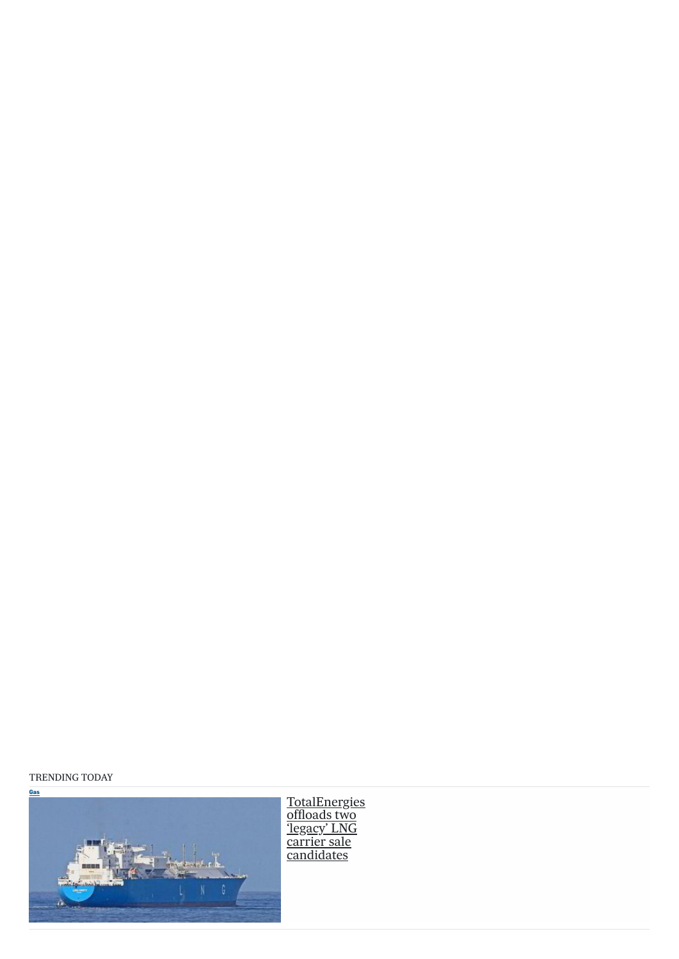## TRENDING TOD AY

[TotalEnergies](https://www.tradewindsnews.com/gas/totalenergies-offloads-two-legacy-lng-carrier-sale-candidates/2-1-1159952) <u>offloads two</u> <u>'legacy' LNG</u> carrier sale <u>candidates</u>

**[Gas](https://www.tradewindsnews.com/gas)**